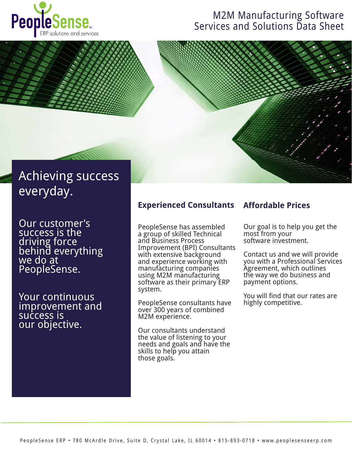

## M2M Manufacturing Software Services and Solutions Data Sheet



## Achieving success everyday.

Our customer's success is the driving force behind everything we do at PeopleSense.

Your continuous improvement and success is our objective.

## **Experienced Consultants**

PeopleSense has assembled a group of skilled Technical and Business Process Improvement (BPI) Consultants with extensive background and experience working with manufacturing companies using M2M manufacturing software as their primary ERP system.

PeopleSense consultants have over 300 years of combined M2M experience.

Our consultants understand the value of listening to your needs and goals and have the skills to help you attain those goals.

## **Affordable Prices**

Our goal is to help you get the most from your software investment.

Contact us and we will provide you with a Professional Services Agreement, which outlines the way we do business and payment options.

You will find that our rates are highly competitive.